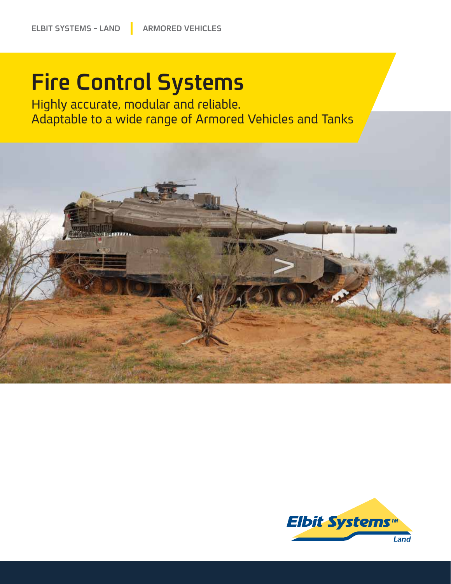# **Fire Control Systems**

Highly accurate, modular and reliable. Adaptable to a wide range of Armored Vehicles and Tanks



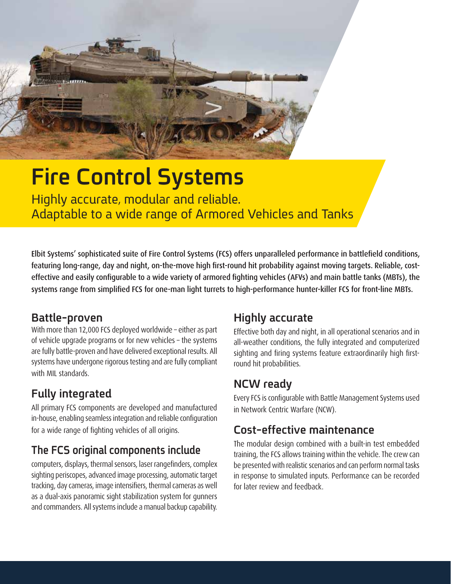

# **Fire Control Systems**

Highly accurate, modular and reliable. Adaptable to a wide range of Armored Vehicles and Tanks

Elbit Systems' sophisticated suite of Fire Control Systems (FCS) offers unparalleled performance in battlefield conditions, featuring long-range, day and night, on-the-move high first-round hit probability against moving targets. Reliable, costeffective and easily configurable to a wide variety of armored fighting vehicles (AFVs) and main battle tanks (MBTs), the systems range from simplified FCS for one-man light turrets to high-performance hunter-killer FCS for front-line MBTs.

### **Battle-proven**

With more than 12,000 FCS deployed worldwide – either as part of vehicle upgrade programs or for new vehicles – the systems are fully battle-proven and have delivered exceptional results. All systems have undergone rigorous testing and are fully compliant with MIL standards.

## **Fully integrated**

All primary FCS components are developed and manufactured in-house, enabling seamless integration and reliable configuration for a wide range of fighting vehicles of all origins.

## **The FCS original components include**

computers, displays, thermal sensors, laser rangefinders, complex sighting periscopes, advanced image processing, automatic target tracking, day cameras, image intensifiers, thermal cameras as well as a dual-axis panoramic sight stabilization system for gunners and commanders. All systems include a manual backup capability.

## **Highly accurate**

Effective both day and night, in all operational scenarios and in all-weather conditions, the fully integrated and computerized sighting and firing systems feature extraordinarily high firstround hit probabilities.

## **NCW ready**

Every FCS is configurable with Battle Management Systems used in Network Centric Warfare (NCW).

## **Cost-effective maintenance**

The modular design combined with a built-in test embedded training, the FCS allows training within the vehicle. The crew can be presented with realistic scenarios and can perform normal tasks in response to simulated inputs. Performance can be recorded for later review and feedback.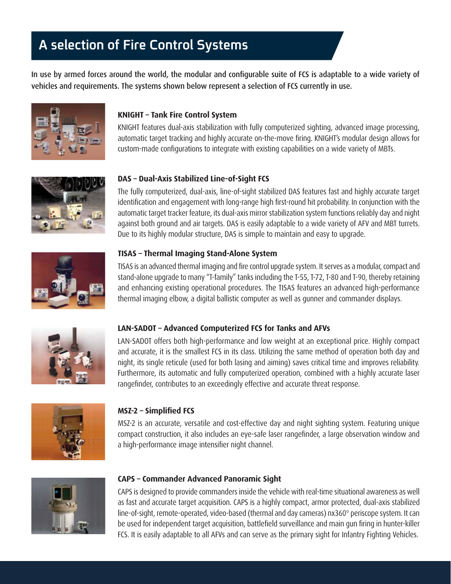## **A selection of Fire Control Systems**

In use by armed forces around the world, the modular and configurable suite of FCS is adaptable to a wide variety of vehicles and requirements. The systems shown below represent a selection of FCS currently in use.



#### **KNIGHT – Tank Fire Control System**

KNIGHT features dual-axis stabilization with fully computerized sighting, advanced image processing, automatic target tracking and highly accurate on-the-move firing. KNIGHT's modular design allows for custom-made configurations to integrate with existing capabilities on a wide variety of MBTs.



#### **DAS – Dual-Axis Stabilized Line-of-Sight FCS**

The fully computerized, dual-axis, line-of-sight stabilized DAS features fast and highly accurate target identification and engagement with long-range high first-round hit probability. In conjunction with the automatic target tracker feature, its dual-axis mirror stabilization system functions reliably day and night against both ground and air targets. DAS is easily adaptable to a wide variety of AFV and MBT turrets. Due to its highly modular structure, DAS is simple to maintain and easy to upgrade.



#### **TISAS – Thermal Imaging Stand-Alone System**

TISAS is an advanced thermal imaging and fire control upgrade system. It serves as a modular, compact and stand-alone upgrade to many "T-family" tanks including the T-55, T-72, T-80 and T-90, thereby retaining and enhancing existing operational procedures. The TISAS features an advanced high-performance thermal imaging elbow, a digital ballistic computer as well as gunner and commander displays.



#### **LAN-SADOT – Advanced Computerized FCS for Tanks and AFVs**

LAN-SADOT offers both high-performance and low weight at an exceptional price. Highly compact and accurate, it is the smallest FCS in its class. Utilizing the same method of operation both day and night, its single reticule (used for both lasing and aiming) saves critical time and improves reliability. Furthermore, its automatic and fully computerized operation, combined with a highly accurate laser rangefinder, contributes to an exceedingly effective and accurate threat response.



#### **MSZ-2 – Simplified FCS**

MSZ-2 is an accurate, versatile and cost-effective day and night sighting system. Featuring unique compact construction, it also includes an eye-safe laser rangefinder, a large observation window and a high-performance image intensifier night channel.



#### **CAPS – Commander Advanced Panoramic Sight**

CAPS is designed to provide commanders inside the vehicle with real-time situational awareness as well as fast and accurate target acquisition. CAPS is a highly compact, armor protected, dual-axis stabilized line-of-sight, remote-operated, video-based (thermal and day cameras) nx360° periscope system. It can be used for independent target acquisition, battlefield surveillance and main gun firing in hunter-killer FCS. It is easily adaptable to all AFVs and can serve as the primary sight for Infantry Fighting Vehicles.